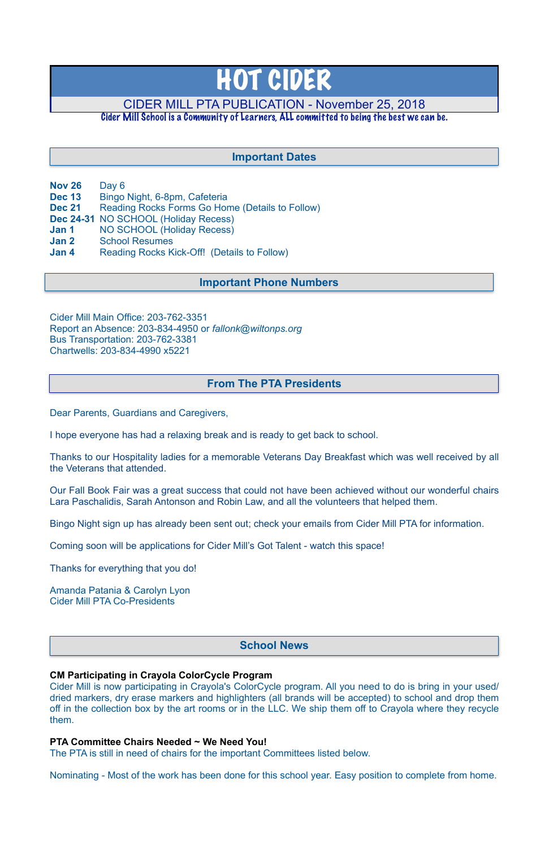- **Nov 26** Day 6
- **Dec 13** Bingo Night, 6-8pm, Cafeteria
- **Dec 21** Reading Rocks Forms Go Home (Details to Follow)
- **Dec 24-31** NO SCHOOL (Holiday Recess)
- **Jan 1** NO SCHOOL (Holiday Recess)
- **Jan 2** School Resumes
- **Jan 4** Reading Rocks Kick-Off! (Details to Follow)

Cider Mill Main Office: 203-762-3351 Report an Absence: 203-834-4950 or *[fallonk@wiltonps.org](mailto:fallonk@wiltonps.org)* Bus Transportation: 203-762-3381 Chartwells: 203-834-4990 x5221

Dear Parents, Guardians and Caregivers,

I hope everyone has had a relaxing break and is ready to get back to school.

Thanks to our Hospitality ladies for a memorable Veterans Day Breakfast which was well received by all the Veterans that attended.

Our Fall Book Fair was a great success that could not have been achieved without our wonderful chairs Lara Paschalidis, Sarah Antonson and Robin Law, and all the volunteers that helped them.

Bingo Night sign up has already been sent out; check your emails from Cider Mill PTA for information.

Coming soon will be applications for Cider Mill's Got Talent - watch this space!

Thanks for everything that you do!

Amanda Patania & Carolyn Lyon Cider Mill PTA Co-Presidents

### **CM Participating in Crayola ColorCycle Program**

Cider Mill is now participating in Crayola's ColorCycle program. All you need to do is bring in your used/ dried markers, dry erase markers and highlighters (all brands will be accepted) to school and drop them off in the collection box by the art rooms or in the LLC. We ship them off to Crayola where they recycle them.

### **PTA Committee Chairs Needed ~ We Need You!**

The PTA is still in need of chairs for the important Committees listed below.

Nominating - Most of the work has been done for this school year. Easy position to complete from home.

# HOT CIDER

# CIDER MILL PTA PUBLICATION - November 25, 2018

Cider Mill School is a Community of Learners, ALL committed to being the best we can be.

# **School News**

# **From The PTA Presidents**

# **Important Dates**

## **Important Phone Numbers**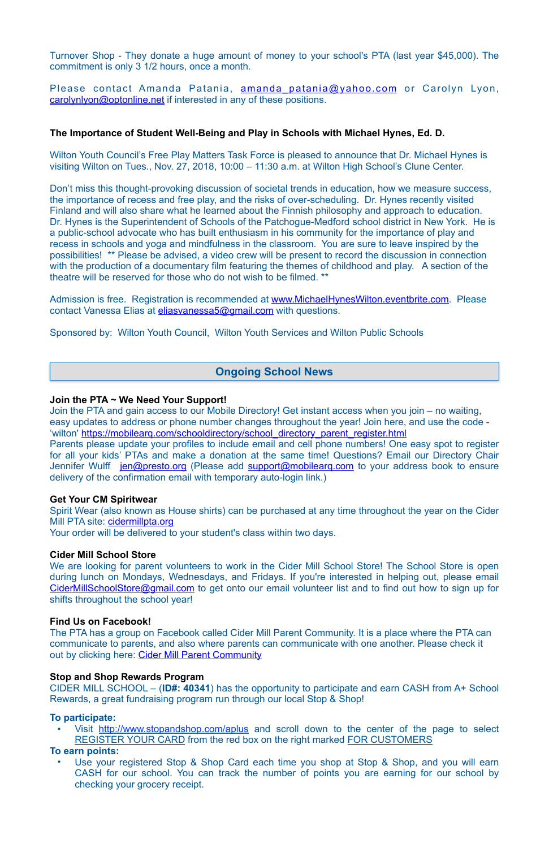Turnover Shop - They donate a huge amount of money to your school's PTA (last year \$45,000). The commitment is only 3 1/2 hours, once a month.

Please contact Amanda Patania, amanda patania@yahoo.com or Carolyn Lyon, [carolynlyon@optonline.net](mailto:carolynlyon@optonline.net) if interested in any of these positions.

### **The Importance of Student Well-Being and Play in Schools with Michael Hynes, Ed. D.**

Wilton Youth Council's Free Play Matters Task Force is pleased to announce that Dr. Michael Hynes is visiting Wilton on Tues., Nov. 27, 2018, 10:00 – 11:30 a.m. at Wilton High School's Clune Center.

Don't miss this thought-provoking discussion of societal trends in education, how we measure success, the importance of recess and free play, and the risks of over-scheduling. Dr. Hynes recently visited Finland and will also share what he learned about the Finnish philosophy and approach to education. Dr. Hynes is the Superintendent of Schools of the Patchogue-Medford school district in New York. He is a public-school advocate who has built enthusiasm in his community for the importance of play and recess in schools and yoga and mindfulness in the classroom. You are sure to leave inspired by the possibilities! \*\* Please be advised, a video crew will be present to record the discussion in connection with the production of a documentary film featuring the themes of childhood and play. A section of the theatre will be reserved for those who do not wish to be filmed. \*\*

Admission is free. Registration is recommended at [www.MichaelHynesWilton.eventbrite.com.](http://www.MichaelHynesWilton.eventbrite.com) Please contact Vanessa Elias at [eliasvanessa5@gmail.com](mailto:eliasvanessa5@gmail.com) with questions.

Spirit Wear (also known as House shirts) can be purchased at any time throughout the year on the Cider Mill PTA site: [cidermillpta.org](http://cidermillpta.org)

We are looking for parent volunteers to work in the Cider Mill School Store! The School Store is open during lunch on Mondays, Wednesdays, and Fridays. If you're interested in helping out, please email [CiderMillSchoolStore@gmail.com](mailto:CiderMillSchoolStore@gmail.com) to get onto our email volunteer list and to find out how to sign up for shifts throughout the school year!

The PTA has a group on Facebook called Cider Mill Parent Community. It is a place where the PTA can communicate to parents, and also where parents can communicate with one another. Please check it out by clicking here: [Cider Mill Parent Community](https://www.facebook.com/groups/1168962513117647/)

Sponsored by: Wilton Youth Council, Wilton Youth Services and Wilton Public Schools

### **Join the PTA ~ We Need Your Support!**

Visit <http://www.stopandshop.com/aplus>and scroll down to the center of the page to select REGISTER YOUR CARD from the red box on the right marked FOR CUSTOMERS

Join the PTA and gain access to our Mobile Directory! Get instant access when you join – no waiting, easy updates to address or phone number changes throughout the year! Join here, and use the code - 'wilton' [https://mobilearq.com/schooldirectory/school\\_directory\\_parent\\_register.html](https://mobilearq.com/schooldirectory/school_directory_parent_register.html) 

Use your registered Stop & Shop Card each time you shop at Stop & Shop, and you will earn CASH for our school. You can track the number of points you are earning for our school by checking your grocery receipt.

Parents please update your profiles to include email and cell phone numbers! One easy spot to register for all your kids' PTAs and make a donation at the same time! Questions? Email our Directory Chair Jennifer Wulff [jen@presto.org](mailto:jen@presto.org) (Please add support@mobilearg.com to your address book to ensure delivery of the confirmation email with temporary auto-login link.)

### **Get Your CM Spiritwear**

Your order will be delivered to your student's class within two days.

### **Cider Mill School Store**

### **Find Us on Facebook!**

### **Stop and Shop Rewards Program**

CIDER MILL SCHOOL – (**ID#: 40341**) has the opportunity to participate and earn CASH from A+ School Rewards, a great fundraising program run through our local Stop & Shop!

### **To participate:**

### **To earn points:**

# **Ongoing School News**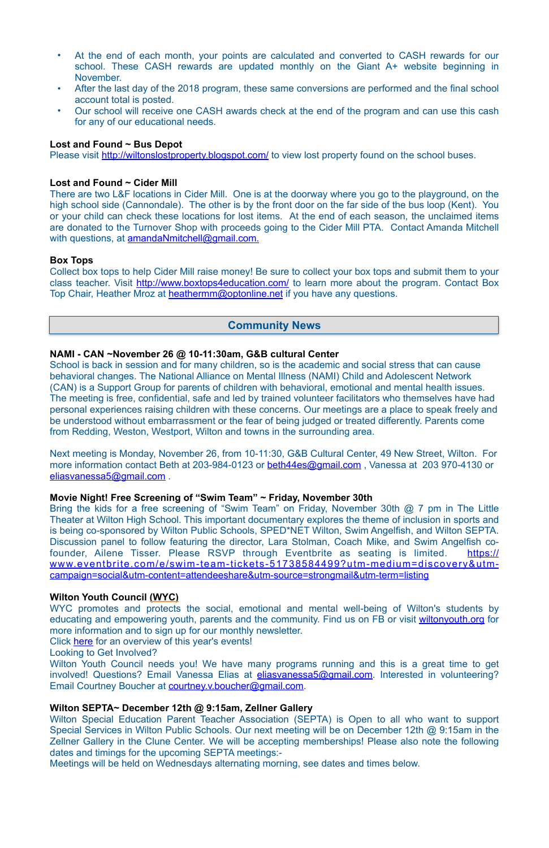- At the end of each month, your points are calculated and converted to CASH rewards for our school. These CASH rewards are updated monthly on the Giant A+ website beginning in November.
- After the last day of the 2018 program, these same conversions are performed and the final school account total is posted.
- Our school will receive one CASH awards check at the end of the program and can use this cash for any of our educational needs.

There are two L&F locations in Cider Mill. One is at the doorway where you go to the playground, on the high school side (Cannondale). The other is by the front door on the far side of the bus loop (Kent). You or your child can check these locations for lost items. At the end of each season, the unclaimed items are donated to the Turnover Shop with proceeds going to the Cider Mill PTA. Contact Amanda Mitchell with questions, at [amandaNmitchell@gmail.com](mailto:amandaNmitchell@gmail.com).

### **Lost and Found ~ Bus Depot**

Please visit <http://wiltonslostproperty.blogspot.com/>to view lost property found on the school buses.

Collect box tops to help Cider Mill raise money! Be sure to collect your box tops and submit them to your class teacher. Visit <http://www.boxtops4education.com/> to learn more about the program. Contact Box Top Chair, Heather Mroz at [heathermm@optonline.net](mailto:heathermm@optonline.net) if you have any questions.

### **Lost and Found ~ Cider Mill**

### **Box Tops**

### **NAMI - CAN ~November 26 @ 10-11:30am, G&B cultural Center**

WYC promotes and protects the social, emotional and mental well-being of Wilton's students by educating and empowering youth, parents and the community. Find us on FB or visit [wiltonyouth.org](http://wiltonyouth.org) for more information and to sign up for our monthly newsletter. Click [here](http://files.constantcontact.com/a093842c001/38385929-43f0-45d4-b187-f0f71a4d7dbb.pdf) for an overview of this year's events! Looking to Get Involved? Wilton Youth Council needs you! We have many programs running and this is a great time to get involved! Questions? Email Vanessa Elias at *eliasvanessa5@gmail.com*. Interested in volunteering? Email Courtney Boucher at [courtney.v.boucher@gmail.com](mailto:courtney.v.boucher@gmail.com).

School is back in session and for many children, so is the academic and social stress that can cause behavioral changes. The National Alliance on Mental Illness (NAMI) Child and Adolescent Network (CAN) is a Support Group for parents of children with behavioral, emotional and mental health issues. The meeting is free, confidential, safe and led by trained volunteer facilitators who themselves have had personal experiences raising children with these concerns. Our meetings are a place to speak freely and be understood without embarrassment or the fear of being judged or treated differently. Parents come from Redding, Weston, Westport, Wilton and towns in the surrounding area.

Next meeting is Monday, November 26, from 10-11:30, G&B Cultural Center, 49 New Street, Wilton. For more information contact Beth at 203-984-0123 or [beth44es@gmail.com](mailto:beth44es@gmail.com), Vanessa at 203 970-4130 or [eliasvanessa5@gmail.com](mailto:eliasvanessa5@gmail.com) .

### **Movie Night! Free Screening of "Swim Team" ~ Friday, November 30th**

Bring the kids for a free screening of "Swim Team" on Friday, November 30th @ 7 pm in The Little Theater at Wilton High School. This important documentary explores the theme of inclusion in sports and is being co-sponsored by Wilton Public Schools, SPED\*NET Wilton, Swim Angelfish, and Wilton SEPTA. Discussion panel to follow featuring the director, Lara Stolman, Coach Mike, and Swim Angelfish co[founder, Ailene Tisser. Please RSVP through Eventbrite as seating is limited. https://](https://www.eventbrite.com/e/swim-team-tickets-51738584499?utm-medium=discovery&utm-campaign=social&utm-content=attendeeshare&utm-source=strongmail&utm-term=listing) www.eventbrite.com/e/swim-team-tickets-51738584499?utm-medium=discovery&utmcampaign=social&utm-content=attendeeshare&utm-source=strongmail&utm-term=listing

### **Wilton Youth Council (WYC)**

### **Wilton SEPTA~ December 12th @ 9:15am, Zellner Gallery**

Wilton Special Education Parent Teacher Association (SEPTA) is Open to all who want to support Special Services in Wilton Public Schools. Our next meeting will be on December 12th @ 9:15am in the Zellner Gallery in the Clune Center. We will be accepting memberships! Please also note the following dates and timings for the upcoming SEPTA meetings:-

Meetings will be held on Wednesdays alternating morning, see dates and times below.

### **Community News**